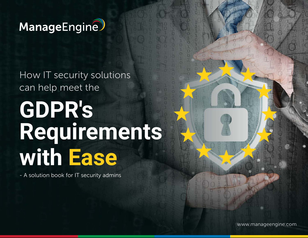

How IT security solutions can help meet the

# **GDPR's Requirements with Ease**

- A solution book for IT security admins

www.manageengine.com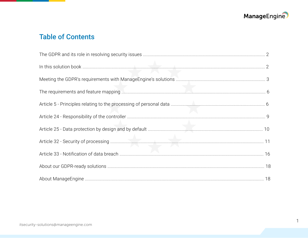

 $\overline{1}$ 

# **Table of Contents**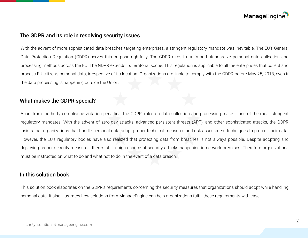

#### <span id="page-2-0"></span>The GDPR and its role in resolving security issues

With the advent of more sophisticated data breaches targeting enterprises, a stringent regulatory mandate was inevitable. The EU's General Data Protection Regulation (GDPR) serves this purpose rightfully. The GDPR aims to unify and standardize personal data collection and processing methods across the EU. The GDPR extends its territorial scope. This regulation is applicable to all the enterprises that collect and process EU citizen's personal data, irrespective of its location. Organizations are liable to comply with the GDPR before May 25, 2018, even if the data processing is happening outside the Union.

#### What makes the GDPR special?

Apart from the hefty compliance violation penalties, the GDPR' rules on data collection and processing make it one of the most stringent regulatory mandates. With the advent of zero-day attacks, advanced persistent threats (APT), and other sophisticated attacks, the GDPR insists that organizations that handle personal data adopt proper technical measures and risk assessment techniques to protect their data. However, the EU's regulatory bodies have also realized that protecting data from breaches is not always possible. Despite adopting and deploying proper security measures, there's still a high chance of security attacks happening in network premises. Therefore organizations must be instructed on what to do and what not to do in the event of a data breach.

## In this solution book

This solution book elaborates on the GDPR's requirements concerning the security measures that organizations should adopt while handling personal data. It also illustrates how solutions from ManageEngine can help organizations fulfill these requirements with ease.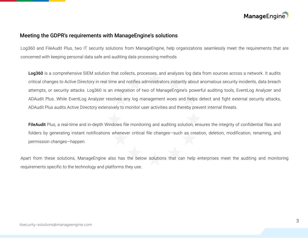

#### <span id="page-3-0"></span>Meeting the GDPR's requirements with ManageEngine's solutions

Log360 and FileAudit Plus, two IT security solutions from ManageEngine, help organizations seamlessly meet the requirements that are concerned with keeping personal data safe and auditing data processing methods

Log360 is a comprehensive SIEM solution that collects, processes, and analyzes log data from sources across a network. It audits critical changes to Active Directory in real time and notifies administrators instantly about anomalous security incidents, data breach attempts, or security attacks. Log360 is an integration of two of ManageEngine's powerful auditing tools, EventLog Analyzer and ADAudit Plus. While EventLog Analyzer resolves any log management woes and helps detect and fight external security attacks, ADAudit Plus audits Active Directory extensively to monitor user activities and thereby prevent internal threats.

FileAudit Plus, a real-time and in-depth Windows file monitoring and auditing solution, ensures the integrity of confidential files and folders by generating instant notifications whenever critical file changes—such as creation, deletion, modification, renaming, and permission changes—happen.

Apart from these solutions, ManageEngine also has the below solutions that can help enterprises meet the auditing and monitoring requirements specific to the technology and platforms they use.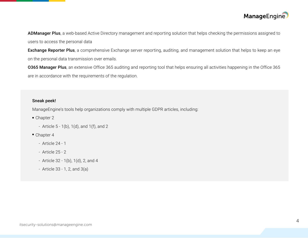

ADManager Plus, a web-based Active Directory management and reporting solution that helps checking the permissions assigned to users to access the personal data

Exchange Reporter Plus, a comprehensive Exchange server reporting, auditing, and management solution that helps to keep an eye on the personal data transmission over emails.

O365 Manager Plus, an extensive Office 365 auditing and reporting tool that helps ensuring all activities happening in the Office 365 are in accordance with the requirements of the regulation.

#### Sneak peek!

ManageEngine's tools help organizations comply with multiple GDPR articles, including:

- Chapter 2
	- Article  $5 1(b)$ ,  $1(d)$ , and  $1(f)$ , and  $2$
- Chapter 4
	- Article 24 1
	- Article 25 2
	- Article 32 1(b), 1(d), 2, and 4
	- Article 33 1, 2, and 3(a)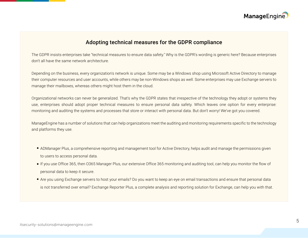

#### Adopting technical measures for the GDPR compliance

The GDPR insists enterprises take "technical measures to ensure data safety." Why is the GDPR's wording is generic here? Because enterprises don't all have the same network architecture.

Depending on the business, every organization's network is unique. Some may be a Windows shop using Microsoft Active Directory to manage their computer resources and user accounts, while others may be non-Windows shops as well. Some enterprises may use Exchange servers to manage their mailboxes, whereas others might host them in the cloud.

Organizational networks can never be generalized. That's why the GDPR states that irrespective of the technology they adopt or systems they use, enterprises should adopt proper technical measures to ensure personal data safety. Which leaves one option for every enterprise: monitoring and auditing the systems and processes that store or interact with personal data. But don't worry! We've got you covered.

ManageEngine has a number of solutions that can help organizations meet the auditing and monitoring requirements specific to the technology and platforms they use.

- ADManager Plus, a comprehensive reporting and management tool for Active Directory, helps audit and manage the permissions given to users to access personal data.
- If you use Office 365, then O365 Manager Plus, our extensive Office 365 monitoring and auditing tool, can help you monitor the flow of personal data to keep it secure.
- Are you using Exchange servers to host your emails? Do you want to keep an eye on email transactions and ensure that personal data is not transferred over email? Exchange Reporter Plus, a complete analysis and reporting solution for Exchange, can help you with that.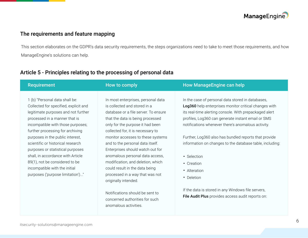

# <span id="page-6-0"></span>The requirements and feature mapping

This section elaborates on the GDPR's data security requirements, the steps organizations need to take to meet those requirements, and how ManageEngine's solutions can help.

| <b>Requirement</b>                                                                                                                                                                                                                                                                                                                                                                                                                                                                | How to comply                                                                                                                                                                                                                                                                                                                                                                                                                                                                                             | <b>How ManageEngine can help</b>                                                                                                                                                                                                                                                                                                                                                                                                                                 |
|-----------------------------------------------------------------------------------------------------------------------------------------------------------------------------------------------------------------------------------------------------------------------------------------------------------------------------------------------------------------------------------------------------------------------------------------------------------------------------------|-----------------------------------------------------------------------------------------------------------------------------------------------------------------------------------------------------------------------------------------------------------------------------------------------------------------------------------------------------------------------------------------------------------------------------------------------------------------------------------------------------------|------------------------------------------------------------------------------------------------------------------------------------------------------------------------------------------------------------------------------------------------------------------------------------------------------------------------------------------------------------------------------------------------------------------------------------------------------------------|
| 1 (b) "Personal data shall be:<br>Collected for specified, explicit and<br>legitimate purposes and not further<br>processed in a manner that is<br>incompatible with those purposes;<br>further processing for archiving<br>purposes in the public interest,<br>scientific or historical research<br>purposes or statistical purposes<br>shall, in accordance with Article<br>89(1), not be considered to be<br>incompatible with the initial<br>purposes ('purpose limitation')" | In most enterprises, personal data<br>is collected and stored in a<br>database or a file server. To ensure<br>that the data is being processed<br>only for the purpose it had been<br>collected for, it is necessary to<br>monitor accesses to these systems<br>and to the personal data itself.<br>Enterprises should watch out for<br>anomalous personal data access,<br>modification, and deletion, which<br>could result in the data being<br>processed in a way that was not<br>originally intended. | In the case of personal data stored in databases,<br>Log360 help enterprises monitor critical changes with<br>its real-time alerting console. With prepackaged alert<br>profiles, Log360 can generate instant email or SMS<br>notifications whenever there's anomalous activity.<br>Further, Log360 also has bundled reports that provide<br>information on changes to the database table, including:<br>• Selection<br>• Creation<br>• Alteration<br>• Deletion |
|                                                                                                                                                                                                                                                                                                                                                                                                                                                                                   | Notifications should be sent to<br>concerned authorities for such                                                                                                                                                                                                                                                                                                                                                                                                                                         | If the data is stored in any Windows file servers,<br>File Audit Plus provides access audit reports on:                                                                                                                                                                                                                                                                                                                                                          |

anomalous activities.

# Article 5 - Principles relating to the processing of personal data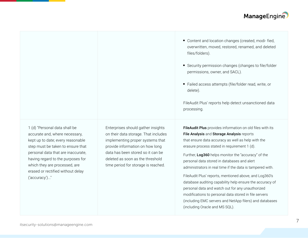1 (d) "Personal data shall be accurate and, where necessary, kept up to date; every reasonable step must be taken to ensure that personal data that are inaccurate, having regard to the purposes for which they are processed, are erased or rectified without delay ('accuracy')..."

Enterprises should gather insights on their data storage. That includes implementing proper systems that provide information on how long data has been stored so it can be deleted as soon as the threshold time period for storage is reached.

- Content and location changes (created, modi- fied, overwritten, moved, restored, renamed, and deleted files/folders).
- Security permission changes (changes to file/folder permissions, owner, and SACL).
- Failed access attempts (file/folder read, write, or delete).

FileAudit Plus' reports help detect unsanctioned data processing.

FileAudit Plus provides information on old files with its File Analysis and Storage Analysis reports that ensure data accuracy as well as help with the erasure process stated in requirement 1 (d).

Further, Log360 helps monitor the "accuracy" of the personal data stored in databases and alert administrators in real time if the data is tampered with.

FileAudit Plus' reports, mentioned above, and Log360's database auditing capability help ensure the accuracy of personal data and watch out for any unauthorized modifications to personal data stored in file servers (including EMC servers and NetApp filers) and databases (including Oracle and MS SQL).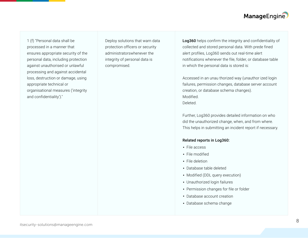1 (f) "Personal data shall be processed in a manner that ensures appropriate security of the personal data, including protection against unauthorised or unlawful processing and against accidental loss, destruction or damage, using appropriate technical or organisational measures ('integrity and confidentiality')."

Deploy solutions that warn data protection officers or security administratorswhenever the integrity of personal data is compromised.

Log360 helps confirm the integrity and confidentiality of collected and stored personal data. With prede fined alert profiles, Log360 sends out real-time alert notifications whenever the file, folder, or database table in which the personal data is stored is:

Accessed in an unau thorized way (unauthor ized login failures, permission changes, database server account creation, or database schema changes). Modified. Deleted.

Further, Log360 provides detailed information on who did the unauthorized change, when, and from where. This helps in submitting an incident report if necessary.

#### Related reports in Log360:

- File access **.**
- File modified **.**
- File deletion **.**
- Database table deleted **.**
- Modified (DDL query execution) **.**
- Unauthorized login failures **.**
- Permission changes for file or folder **.**
- Database account creation **.**
- Database schema change **.**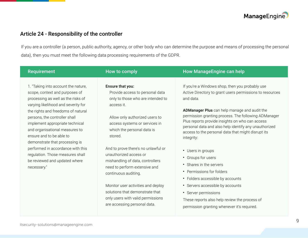

# <span id="page-9-0"></span>Article 24 - Responsibility of the controller

If you are a controller (a person, public authority, agency, or other body who can determine the purpose and means of processing the personal data), then you must meet the following data processing requirements of the GDPR.

| <b>Requirement</b>                                                                                                                                                                                                                                                                                                                                                                                                                                                                    | How to comply                                                                                                                                                                                                                                                                                                                                                                    | <b>How ManageEngine can help</b>                                                                                                                                                                                                                                                                                                                                                                                                                                                                                                                                   |
|---------------------------------------------------------------------------------------------------------------------------------------------------------------------------------------------------------------------------------------------------------------------------------------------------------------------------------------------------------------------------------------------------------------------------------------------------------------------------------------|----------------------------------------------------------------------------------------------------------------------------------------------------------------------------------------------------------------------------------------------------------------------------------------------------------------------------------------------------------------------------------|--------------------------------------------------------------------------------------------------------------------------------------------------------------------------------------------------------------------------------------------------------------------------------------------------------------------------------------------------------------------------------------------------------------------------------------------------------------------------------------------------------------------------------------------------------------------|
| 1. "Taking into account the nature,<br>scope, context and purposes of<br>processing as well as the risks of<br>varying likelihood and severity for<br>the rights and freedoms of natural<br>persons, the controller shall<br>implement appropriate technical<br>and organisational measures to<br>ensure and to be able to<br>demonstrate that processing is<br>performed in accordance with this<br>regulation. Those measures shall<br>be reviewed and updated where<br>necessary." | Ensure that you:<br>Provide access to personal data<br>only to those who are intended to<br>access it.<br>Allow only authorized users to<br>access systems or services in<br>which the personal data is<br>stored.<br>And to prove there's no unlawful or<br>unauthorized access or<br>mishandling of data, controllers<br>need to perform extensive and<br>continuous auditing. | If you're a Windows shop, then you probably use<br>Active Directory to grant users permissions to resources<br>and data.<br>ADManager Plus can help manage and audit the<br>permission granting process. The following ADManager<br>Plus reports provide insights on who can access<br>personal data and also help identify any unauthorized<br>access to the personal data that might disrupt its<br>integrity:<br>• Users in groups<br>Groups for users<br>$\bullet$<br>• Shares in the servers<br>• Permissions for folders<br>• Folders accessible by accounts |
|                                                                                                                                                                                                                                                                                                                                                                                                                                                                                       | Monitor user activities and deploy<br>solutions that demonstrate that<br>only users with valid permissions<br>are accessing personal data.                                                                                                                                                                                                                                       | • Servers accessible by accounts<br>• Server permissions<br>These reports also help review the process of<br>permission granting whenever it's required.                                                                                                                                                                                                                                                                                                                                                                                                           |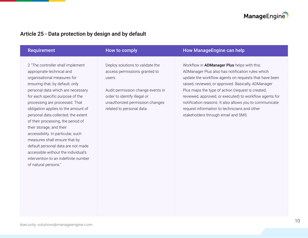

# <span id="page-10-0"></span>Article 25 - Data protection by design and by default

| <b>Requirement</b>                                                                                                                                                                                                                                                                                                                                                                                                                                                                                                                                                                                              | How to comply                                                                                                                                                                                                    | <b>How ManageEngine can help</b>                                                                                                                                                                                                                                                                                                                                                                                                                                                         |
|-----------------------------------------------------------------------------------------------------------------------------------------------------------------------------------------------------------------------------------------------------------------------------------------------------------------------------------------------------------------------------------------------------------------------------------------------------------------------------------------------------------------------------------------------------------------------------------------------------------------|------------------------------------------------------------------------------------------------------------------------------------------------------------------------------------------------------------------|------------------------------------------------------------------------------------------------------------------------------------------------------------------------------------------------------------------------------------------------------------------------------------------------------------------------------------------------------------------------------------------------------------------------------------------------------------------------------------------|
| 2 "The controller shall implement<br>appropriate technical and<br>organisational measures for<br>ensuring that, by default, only<br>personal data which are necessary<br>for each specific purpose of the<br>processing are processed. That<br>obligation applies to the amount of<br>personal data collected, the extent<br>of their processing, the period of<br>their storage, and their<br>accessibility. In particular, such<br>measures shall ensure that by<br>default personal data are not made<br>accessible without the individual's<br>intervention to an indefinite number<br>of natural persons." | Deploy solutions to validate the<br>access permissions granted to<br>users.<br>Audit permission change events in<br>order to identify illegal or<br>unauthorized permission changes<br>related to personal data. | Workflow in <b>ADManager Plus</b> helps with this.<br>ADManager Plus also has notification rules which<br>update the workflow agents on requests that have been<br>raised, reviewed, or approved. Basically, ADManager<br>Plus maps the type of action (request is created,<br>reviewed, approved, or executed) to workflow agents for<br>notification reasons. It also allows you to communicate<br>request information to technicians and other<br>stakeholders through email and SMS. |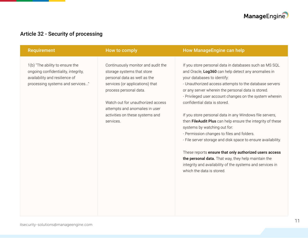

# <span id="page-11-0"></span>Article 32 - Security of processing

| <b>Requirement</b>                                                                                                                           | How to comply                                                                                                                                                 | <b>How ManageEngine can help</b>                                                                                                                                                                                                                                                                                        |
|----------------------------------------------------------------------------------------------------------------------------------------------|---------------------------------------------------------------------------------------------------------------------------------------------------------------|-------------------------------------------------------------------------------------------------------------------------------------------------------------------------------------------------------------------------------------------------------------------------------------------------------------------------|
| 1(b) "The ability to ensure the<br>ongoing confidentiality, integrity,<br>availability and resilience of<br>processing systems and services" | Continuously monitor and audit the<br>storage systems that store<br>personal data as well as the<br>services (or applications) that<br>process personal data. | If you store personal data in databases such as MS SQL<br>and Oracle, Log360 can help detect any anomalies in<br>your databases to identify:<br>- Unauthorized access attempts to the database servers<br>or any server wherein the personal data is stored.<br>- Privileged user account changes on the system wherein |
|                                                                                                                                              | Watch out for unauthorized access<br>attempts and anomalies in user                                                                                           | confidential data is stored.                                                                                                                                                                                                                                                                                            |
|                                                                                                                                              | activities on these systems and<br>services.                                                                                                                  | If you store personal data in any Windows file servers,<br>then FileAudit Plus can help ensure the integrity of these<br>systems by watching out for:<br>- Permission changes to files and folders.<br>- File server storage and disk space to ensure availability.                                                     |
|                                                                                                                                              |                                                                                                                                                               | These reports ensure that only authorized users access<br>the personal data. That way, they help maintain the<br>integrity and availability of the systems and services in<br>which the data is stored.                                                                                                                 |
|                                                                                                                                              |                                                                                                                                                               |                                                                                                                                                                                                                                                                                                                         |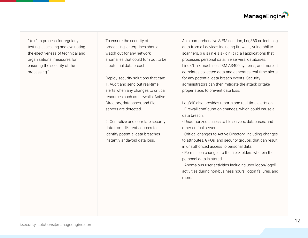1(d) "...a process for regularly testing, assessing and evaluating the e�ectiveness of technical and organisational measures for ensuring the security of the processing."

To ensure the security of processing, enterprises should watch out for any network anomalies that could turn out to be a potential data breach.

Deploy security solutions that can: 1. Audit and send out real-time alerts when any changes to critical resources such as firewalls, Active Directory, databases, and file servers are detected.

2. Centralize and correlate security data from di�erent sources to identify potential data breaches instantly andavoid data loss.

As a comprehensive SIEM solution, Log360 collects log data from all devices including firewalls, vulnerability scanners, b u s i n e s s - c r i t i c a l applications that processes personal data, file servers, databases, Linux/Unix machines, IBM AS400 systems, and more. It correlates collected data and generates real-time alerts for any potential data breach events. Security administrators can then mitigate the attack or take proper steps to prevent data loss.

Log360 also provides reports and real-time alerts on: - Firewall configuration changes, which could cause a data breach.

- Unauthorized access to file servers, databases, and other critical servers.

- Critical changes to Active Directory, including changes to attributes, GPOs, and security groups, that can result in unauthorized access to personal data.

- Permission changes to the files/folders wherein the personal data is stored.

- Anomalous user activities including user logon/logo $\mathbb{N}$ activities during non-business hours, logon failures, and more.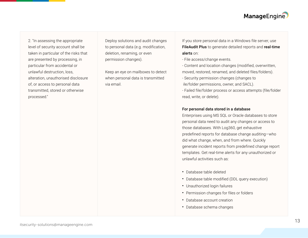2. "In assessing the appropriate level of security account shall be taken in particular of the risks that are presented by processing, in particular from accidental or unlawful destruction, loss, alteration, unauthorised disclosure of, or access to personal data transmitted, stored or otherwise processed."

Deploy solutions and audit changes to personal data (e.g. modification, deletion, renaming, or even permission changes).

Keep an eye on mailboxes to detect when personal data is transmitted via email.

If you store personal data in a Windows file server, use FileAudit Plus to generate detailed reports and real-time alerts on:

- File access/change events.

- Content and location changes (modified, overwritten, moved, restored, renamed, and deleted files/folders).

- Security permission changes (changes to ile/folder permissions, owner, and SACL).
- Failed file/folder process or access attempts (file/folder read, write, or delete).

#### For personal data stored in a database

Enterprises using MS SQL or Oracle databases to store personal data need to audit any changes or access to those databases. With Log360, get exhaustive predefined reports for database change auditing—who did what change, when, and from where. Quickly generate incident reports from predefined change report templates. Get real-time alerts for any unauthorized or unlawful activities such as:

- Database table deleted **.**
- Database table modified (DDL query execution) **.**
- Unauthorized login failures **.**
- Permission changes for files or folders **.**
- Database account creation **.**
- Database schema changes **.**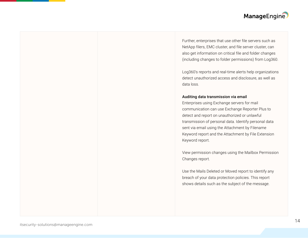Further, enterprises that use other file servers such as NetApp filers, EMC cluster, and file server cluster, can also get information on critical file and folder changes (including changes to folder permissions) from Log360.

Log360's reports and real-time alerts help organizations detect unauthorized access and disclosure, as well as data loss.

#### Auditing data transmission via email

Enterprises using Exchange servers for mail communication can use Exchange Reporter Plus to detect and report on unauthorized or unlawful transmission of personal data. Identify personal data sent via email using the Attachment by Filename Keyword report and the Attachment by File Extension Keyword report.

View permission changes using the Mailbox Permission Changes report.

Use the Mails Deleted or Moved report to identify any breach of your data protection policies. This report shows details such as the subject of the message.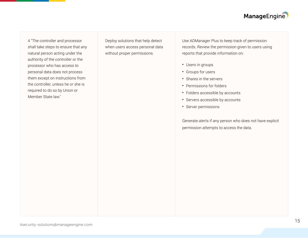4 "The controller and processor shall take steps to ensure that any natural person acting under the authority of the controller or the processor who has access to personal data does not process them except on instructions from the controller, unless he or she is required to do so by Union or Member State law."

Deploy solutions that help detect when users access personal data without proper permissions.

Use ADManager Plus to keep track of permission records. Review the permission given to users using reports that provide information on:

- Users in groups **.**
- Groups for users **.**
- Shares in the servers **.**
- Permissions for folders **.**
- Folders accessible by accounts **.**
- Servers accessible by accounts **.**
- Server permissions **.**

Generate alerts if any person who does not have explicit permission attempts to access the data.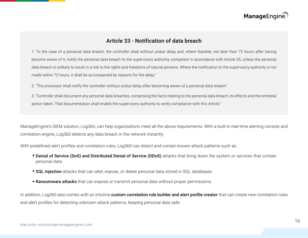

## Article 33 - Notification of data breach

<span id="page-16-0"></span>1. "In the case of a personal data breach, the controller shall without undue delay and, where feasible, not later than 72 hours after having become aware of it, notify the personal data breach to the supervisory authority competent in accordance with Article 55, unless the personal data breach is unlikely to result in a risk to the rights and freedoms of natural persons. Where the notification to the supervisory authority is not made within 72 hours, it shall be accompanied by reasons for the delay."

2. "The processor shall notify the controller without undue delay after becoming aware of a personal data breach."

3. "Controller shall document any personal data breaches, comprising the facts relating to the personal data breach, its effects and the remedial action taken. That documentation shall enable the supervisory authority to verify compliance with this Article."

ManageEngine's SIEM solution, Log360, can help organizations meet all the above requirements. With a built-in real-time alerting console and correlation engine, Log360 detects any data breach in the network instantly.

With predefined alert profiles and correlation rules, Log360 can detect and contain known attack patterns such as:

- **Denial of Service (DoS) and Distributed Denial of Service (DDoS)** attacks that bring down the system or services that contain personal data.
- SQL injection attacks that can alter, expose, or delete personal data stored in SQL databases.
- **Ransomware attacks** that can expose or transmit personal data without proper permissions.

In addition, Log360 also comes with an intuitive custom correlation rule builder and alert profile creator that can create new correlation rules and alert profiles for detecting unknown attack patterns, keeping personal data safe.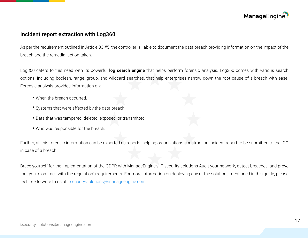

## Incident report extraction with Log360

As per the requirement outlined in Article 33 #5, the controller is liable to document the data breach providing information on the impact of the breach and the remedial action taken.

Log360 caters to this need with its powerful log search engine that helps perform forensic analysis. Log360 comes with various search options, including boolean, range, group, and wildcard searches, that help enterprises narrow down the root cause of a breach with ease. Forensic analysis provides information on:

- When the breach occurred.
- Systems that were affected by the data breach.
- Data that was tampered, deleted, exposed, or transmitted.
- Who was responsible for the breach.

Further, all this forensic information can be exported as reports, helping organizations construct an incident report to be submitted to the ICO in case of a breach.

Brace yourself for the implementation of the GDPR with ManageEngine's IT security solutions Audit your network, detect breaches, and prove that you're on track with the regulation's requirements. For more information on deploying any of the solutions mentioned in this guide, please feel free to write to us at itsecurity-solutions@manageengine.com